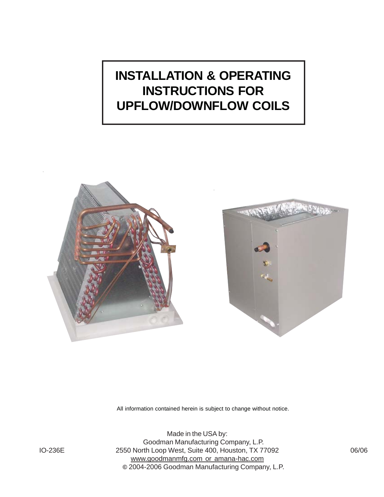# **INSTALLATION & OPERATING INSTRUCTIONS FOR UPFLOW/DOWNFLOW COILS**





All information contained herein is subject to change without notice.

Made in the USA by: Goodman Manufacturing Company, L.P. IO-236E 2550 North Loop West, Suite 400, Houston, TX 77092 06/06 www.goodmanmfg.com or amana-hac.com **©** 2004-2006 Goodman Manufacturing Company, L.P.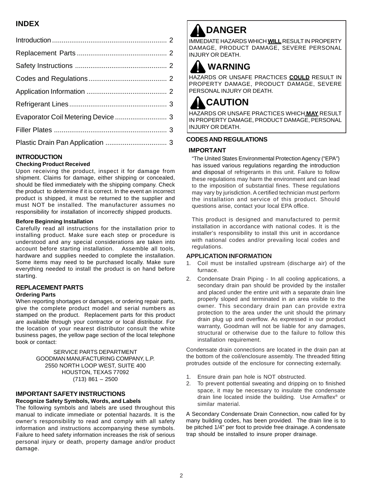### **INDEX**

#### **INTRODUCTION**

#### **Checking Product Received**

Upon receiving the product, inspect it for damage from shipment. Claims for damage, either shipping or concealed, should be filed immediately with the shipping company. Check the product to determine if it is correct. In the event an incorrect product is shipped, it must be returned to the supplier and must NOT be installed. The manufacturer assumes no responsibility for installation of incorrectly shipped products.

#### **Before Beginning Installation**

Carefully read all instructions for the installation prior to installing product. Make sure each step or procedure is understood and any special considerations are taken into account before starting installation. Assemble all tools, hardware and supplies needed to complete the installation. Some items may need to be purchased locally. Make sure everything needed to install the product is on hand before starting.

### **REPLACEMENT PARTS**

#### **Ordering Parts**

When reporting shortages or damages, or ordering repair parts, give the complete product model and serial numbers as stamped on the product. Replacement parts for this product are available through your contractor or local distributor. For the location of your nearest distributor consult the white business pages, the yellow page section of the local telephone book or contact:

#### SERVICE PARTS DEPARTMENT GOODMAN MANUFACTURING COMPANY, L.P. 2550 NORTH LOOP WEST, SUITE 400 HOUSTON, TEXAS 77092 (713) 861 – 2500

#### **IMPORTANT SAFETY INSTRUCTIONS Recognize Safety Symbols, Words, and Labels**

The following symbols and labels are used throughout this manual to indicate immediate or potential hazards. It is the owner's responsibility to read and comply with all safety information and instructions accompanying these symbols. Failure to heed safety information increases the risk of serious personal injury or death, property damage and/or product damage.

## **DANGER**

IMMEDIATE HAZARDS WHICH **WILL** RESULT IN PROPERTY DAMAGE, PRODUCT DAMAGE, SEVERE PERSONAL INJURY OR DEATH.

## **WARNING**

HAZARDS OR UNSAFE PRACTICES **COULD** RESULT IN PROPERTY DAMAGE, PRODUCT DAMAGE, SEVERE PERSONAL INJURY OR DEATH.

### **CAUTION**

HAZARDS OR UNSAFE PRACTICES WHICH **MAY** RESULT IN PROPERTY DAMAGE, PRODUCT DAMAGE, PERSONAL INJURY OR DEATH.

#### **CODES AND REGULATIONS**

#### **IMPORTANT**

"The United States Environmental Protection Agency ("EPA") has issued various regulations regarding the introduction and disposal of refrigerants in this unit. Failure to follow these regulations may harm the environment and can lead to the imposition of substantial fines. These regulations may vary by jurisdiction. A certified technician must perform the installation and service of this product. Should questions arise, contact your local EPA office.

This product is designed and manufactured to permit installation in accordance with national codes. It is the installer's responsibility to install this unit in accordance with national codes and/or prevailing local codes and regulations.

#### **APPLICATION INFORMATION**

- 1. Coil must be installed upstream (discharge air) of the furnace.
- 2. Condensate Drain Piping In all cooling applications, a secondary drain pan should be provided by the installer and placed under the entire unit with a separate drain line properly sloped and terminated in an area visible to the owner. This secondary drain pan can provide extra protection to the area under the unit should the primary drain plug up and overflow. As expressed in our product warranty, Goodman will not be liable for any damages, structural or otherwise due to the failure to follow this installation requirement.

Condensate drain connections are located in the drain pan at the bottom of the coil/enclosure assembly. The threaded fitting protrudes outside of the enclosure for connecting externally.

- 1. Ensure drain pan hole is NOT obstructed.
- 2. To prevent pottential sweating and dripping on to finished space, it may be necessary to insulate the condensate drain line located inside the building. Use Armaflex® or similar material.

A Secondary Condensate Drain Connection, now called for by many building codes, has been provided. The drain line is to be pitched 1/4" per foot to provide free drainage. A condensate trap should be installed to insure proper drainage.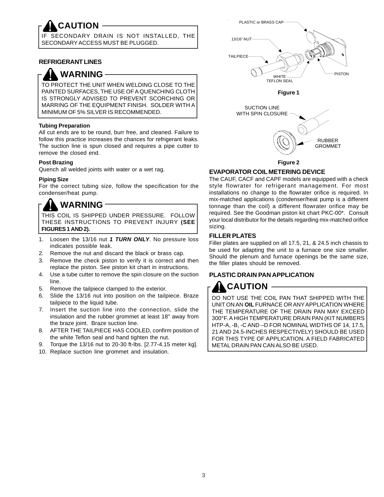**CAUTION** SECONDARY DRAIN IS NOT INSTALLED, THE SECONDARY ACCESS MUST BE PLUGGED.

#### **REFRIGERANT LINES**

**WARNING**

TO PROTECT THE UNIT WHEN WELDING CLOSE TO THE PAINTED SURFACES, THE USE OF A QUENCHING CLOTH IS STRONGLY ADVISED TO PREVENT SCORCHING OR MARRING OF THE EQUIPMENT FINISH. SOLDER WITH A MINIMUM OF 5% SILVER IS RECOMMENDED.

#### **Tubing Preparation**

All cut ends are to be round, burr free, and cleaned. Failure to follow this practice increases the chances for refrigerant leaks. The suction line is spun closed and requires a pipe cutter to remove the closed end.

#### **Post Brazing**

Quench all welded joints with water or a wet rag.

#### **Piping Size**

For the correct tubing size, follow the specification for the condenser/heat pump.

## **WARNING**

THIS COIL IS SHIPPED UNDER PRESSURE. FOLLOW THESE INSTRUCTIONS TO PREVENT INJURY **(SEE FIGURES 1 AND 2).**

- 1. Loosen the 13/16 nut *1 TURN ONLY*. No pressure loss indicates possible leak.
- 2. Remove the nut and discard the black or brass cap.
- 3. Remove the check piston to verify it is correct and then replace the piston. See piston kit chart in instructions.
- 4. Use a tube cutter to remove the spin closure on the suction line.
- 5. Remove the tailpiece clamped to the exterior.
- 6. Slide the 13/16 nut into position on the tailpiece. Braze tailpiece to the liquid tube.
- 7. Insert the suction line into the connection, slide the insulation and the rubber grommet at least 18" away from the braze joint. Braze suction line.
- 8. AFTER THE TAILPIECE HAS COOLED, confirm position of the white Teflon seal and hand tighten the nut.
- 9. Torque the 13/16 nut to 20-30 ft-lbs. [2.77-4.15 meter kg].
- 10. Replace suction line grommet and insulation.



**Figure 2**

#### **EVAPORATOR COIL METERING DEVICE**

The CAUF, CACF and CAPF models are equipped with a check style flowrater for refrigerant management. For most installations no change to the flowrater orifice is required. In mix-matched applications (condenser/heat pump is a different tonnage than the coil) a different flowrater orifice may be required. See the Goodman piston kit chart PKC-00\*. Consult your local distributor for the details regarding mix-matched orifice sizing.

#### **FILLER PLATES**

Filler plates are supplied on all 17.5, 21, & 24.5 inch chassis to be used for adapting the unit to a furnace one size smaller. Should the plenum and furnace openings be the same size, the filler plates should be removed.

#### **PLASTIC DRAIN PAN APPLICATION**

DO NOT USE THE COIL PAN THAT SHIPPED WITH THE UNIT ON AN **OIL** FURNACE OR ANY APPLICATION WHERE THE TEMPERATURE OF THE DRAIN PAN MAY EXCEED 300°F. A HIGH TEMPERATURE DRAIN PAN (KIT NUMBERS HTP-A, -B, -C AND –D FOR NOMINAL WIDTHS OF 14, 17.5, 21 AND 24.5-INCHES RESPECTIVELY) SHOULD BE USED FOR THIS TYPE OF APPLICATION. A FIELD FABRICATED METAL DRAIN PAN CAN ALSO BE USED. **CAUTION**